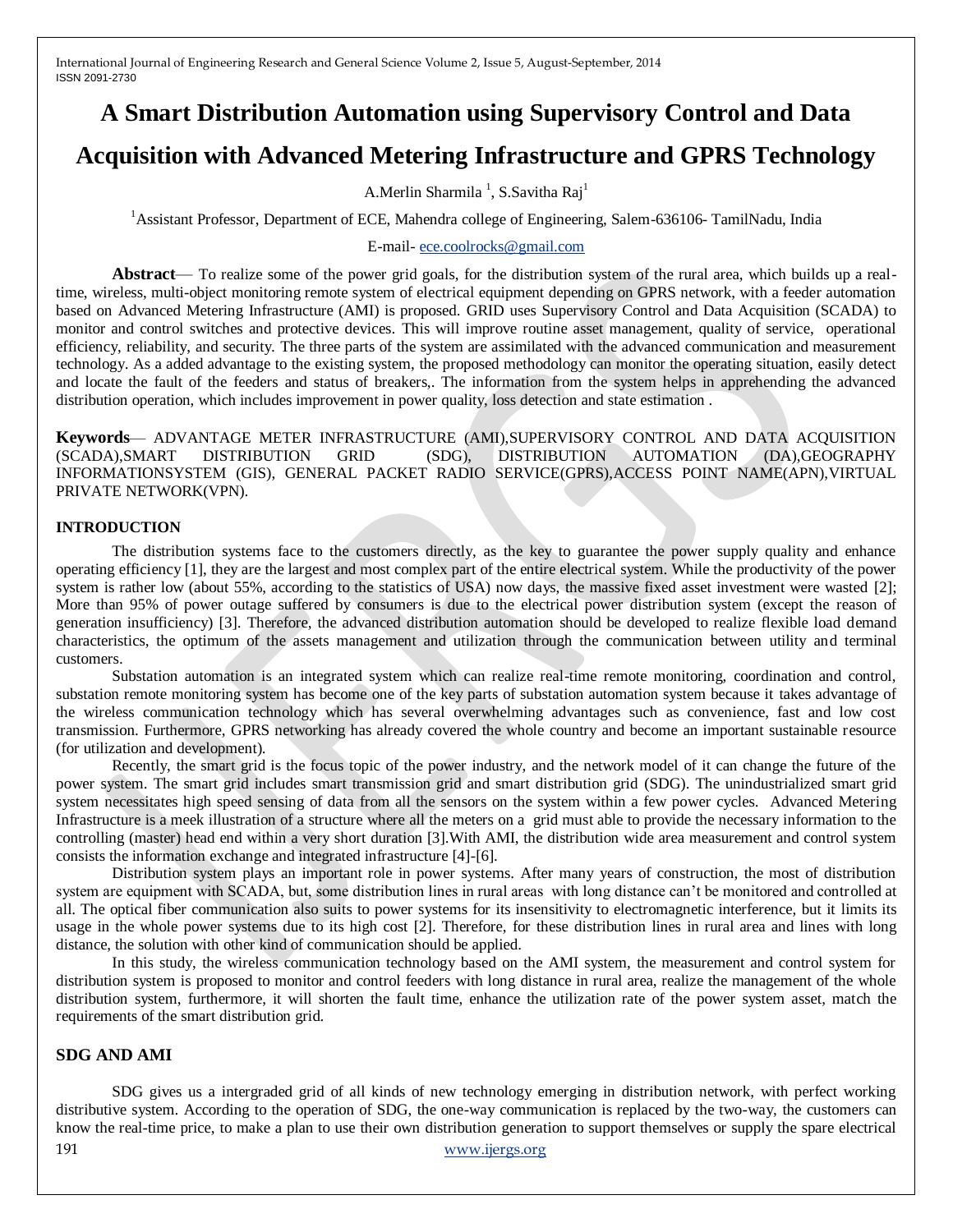# **A Smart Distribution Automation using Supervisory Control and Data**

## **Acquisition with Advanced Metering Infrastructure and GPRS Technology**

A.Merlin Sharmila<sup>1</sup>, S.Savitha Raj<sup>1</sup>

<sup>1</sup>Assistant Professor, Department of ECE, Mahendra college of Engineering, Salem-636106- TamilNadu, India

#### E-mail- [ece.coolrocks@gmail.com](mailto:ece.coolrocks@gmail.com)

**Abstract**— To realize some of the power grid goals, for the distribution system of the rural area, which builds up a realtime, wireless, multi-object monitoring remote system of electrical equipment depending on GPRS network, with a feeder automation based on Advanced Metering Infrastructure (AMI) is proposed. GRID uses Supervisory Control and Data Acquisition (SCADA) to monitor and control switches and protective devices*.* This will improve routine asset management, quality of service, operational efficiency, reliability, and security*.* The three parts of the system are assimilated with the advanced communication and measurement technology. As a added advantage to the existing system, the proposed methodology can monitor the operating situation, easily detect and locate the fault of the feeders and status of breakers,. The information from the system helps in apprehending the advanced distribution operation, which includes improvement in power quality, loss detection and state estimation .

**Keywords**— ADVANTAGE METER INFRASTRUCTURE (AMI),SUPERVISORY CONTROL AND DATA ACQUISITION (SCADA),SMART DISTRIBUTION GRID (SDG), DISTRIBUTION AUTOMATION (DA),GEOGRAPHY INFORMATIONSYSTEM (GIS), GENERAL PACKET RADIO SERVICE(GPRS),ACCESS POINT NAME(APN),VIRTUAL PRIVATE NETWORK(VPN).

#### **INTRODUCTION**

The distribution systems face to the customers directly, as the key to guarantee the power supply quality and enhance operating efficiency [1], they are the largest and most complex part of the entire electrical system. While the productivity of the power system is rather low (about 55%, according to the statistics of USA) now days, the massive fixed asset investment were wasted [2]; More than 95% of power outage suffered by consumers is due to the electrical power distribution system (except the reason of generation insufficiency) [3]. Therefore, the advanced distribution automation should be developed to realize flexible load demand characteristics, the optimum of the assets management and utilization through the communication between utility and terminal customers.

Substation automation is an integrated system which can realize real-time remote monitoring, coordination and control, substation remote monitoring system has become one of the key parts of substation automation system because it takes advantage of the wireless communication technology which has several overwhelming advantages such as convenience, fast and low cost transmission. Furthermore, GPRS networking has already covered the whole country and become an important sustainable resource (for utilization and development).

Recently, the smart grid is the focus topic of the power industry, and the network model of it can change the future of the power system. The smart grid includes smart transmission grid and smart distribution grid (SDG). The unindustrialized smart grid system necessitates high speed sensing of data from all the sensors on the system within a few power cycles. Advanced Metering Infrastructure is a meek illustration of a structure where all the meters on a grid must able to provide the necessary information to the controlling (master) head end within a very short duration [3].With AMI, the distribution wide area measurement and control system consists the information exchange and integrated infrastructure [4]-[6].

Distribution system plays an important role in power systems. After many years of construction, the most of distribution system are equipment with SCADA, but, some distribution lines in rural areas with long distance can't be monitored and controlled at all. The optical fiber communication also suits to power systems for its insensitivity to electromagnetic interference, but it limits its usage in the whole power systems due to its high cost [2]. Therefore, for these distribution lines in rural area and lines with long distance, the solution with other kind of communication should be applied.

In this study, the wireless communication technology based on the AMI system, the measurement and control system for distribution system is proposed to monitor and control feeders with long distance in rural area, realize the management of the whole distribution system, furthermore, it will shorten the fault time, enhance the utilization rate of the power system asset, match the requirements of the smart distribution grid.

#### **SDG AND AMI**

191 [www.ijergs.org](http://www.ijergs.org/) SDG gives us a intergraded grid of all kinds of new technology emerging in distribution network, with perfect working distributive system. According to the operation of SDG, the one-way communication is replaced by the two-way, the customers can know the real-time price, to make a plan to use their own distribution generation to support themselves or supply the spare electrical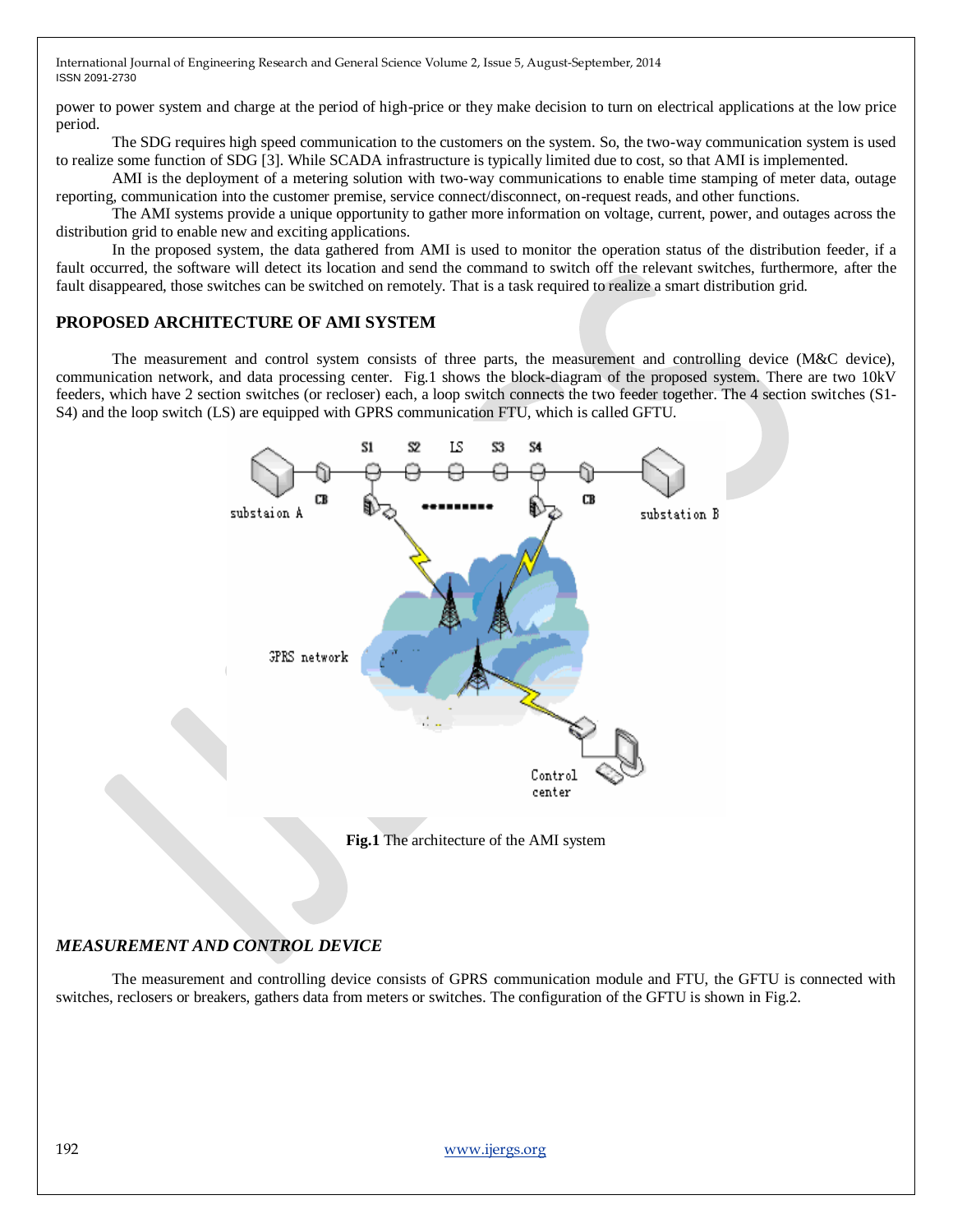power to power system and charge at the period of high-price or they make decision to turn on electrical applications at the low price period.

The SDG requires high speed communication to the customers on the system. So, the two-way communication system is used to realize some function of SDG [3]. While SCADA infrastructure is typically limited due to cost, so that AMI is implemented.

AMI is the deployment of a metering solution with two-way communications to enable time stamping of meter data, outage reporting, communication into the customer premise, service connect/disconnect, on-request reads, and other functions.

The AMI systems provide a unique opportunity to gather more information on voltage, current, power, and outages across the distribution grid to enable new and exciting applications.

In the proposed system, the data gathered from AMI is used to monitor the operation status of the distribution feeder, if a fault occurred, the software will detect its location and send the command to switch off the relevant switches, furthermore, after the fault disappeared, those switches can be switched on remotely. That is a task required to realize a smart distribution grid.

#### **PROPOSED ARCHITECTURE OF AMI SYSTEM**

The measurement and control system consists of three parts, the measurement and controlling device (M&C device), communication network, and data processing center. Fig.1 shows the block-diagram of the proposed system. There are two 10kV feeders, which have 2 section switches (or recloser) each, a loop switch connects the two feeder together. The 4 section switches (S1- S4) and the loop switch (LS) are equipped with GPRS communication FTU, which is called GFTU.



**Fig.1** The architecture of the AMI system

### *MEASUREMENT AND CONTROL DEVICE*

The measurement and controlling device consists of GPRS communication module and FTU, the GFTU is connected with switches, reclosers or breakers, gathers data from meters or switches. The configuration of the GFTU is shown in Fig.2.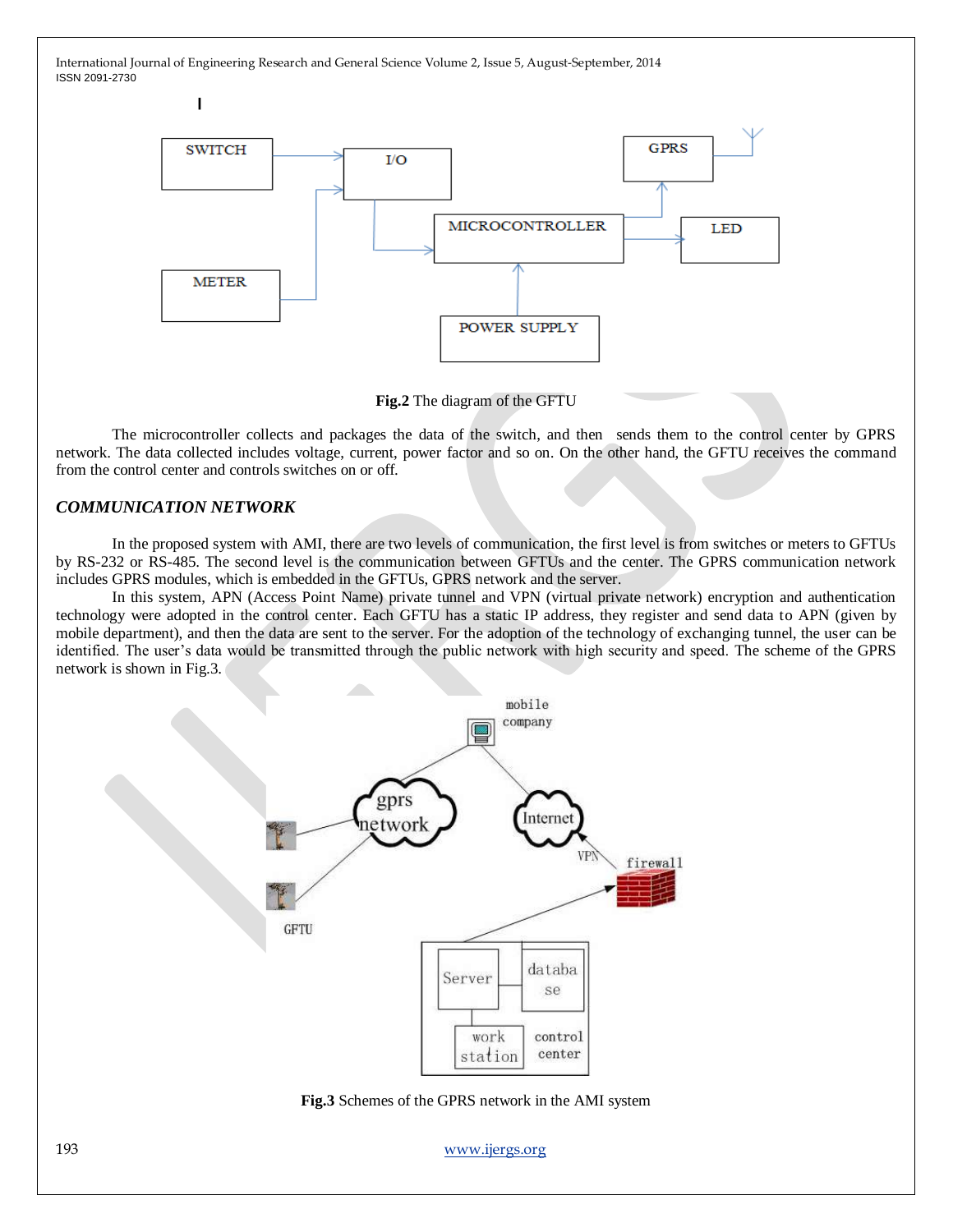

**Fig.2** The diagram of the GFTU

The microcontroller collects and packages the data of the switch, and then sends them to the control center by GPRS network. The data collected includes voltage, current, power factor and so on. On the other hand, the GFTU receives the command from the control center and controls switches on or off.

#### *COMMUNICATION NETWORK*

 $\overline{1}$ 

In the proposed system with AMI, there are two levels of communication, the first level is from switches or meters to GFTUs by RS-232 or RS-485. The second level is the communication between GFTUs and the center. The GPRS communication network includes GPRS modules, which is embedded in the GFTUs, GPRS network and the server.

In this system, APN (Access Point Name) private tunnel and VPN (virtual private network) encryption and authentication technology were adopted in the control center. Each GFTU has a static IP address, they register and send data to APN (given by mobile department), and then the data are sent to the server. For the adoption of the technology of exchanging tunnel, the user can be identified. The user's data would be transmitted through the public network with high security and speed. The scheme of the GPRS network is shown in Fig.3.



**Fig.3** Schemes of the GPRS network in the AMI system

193 [www.ijergs.org](http://www.ijergs.org/)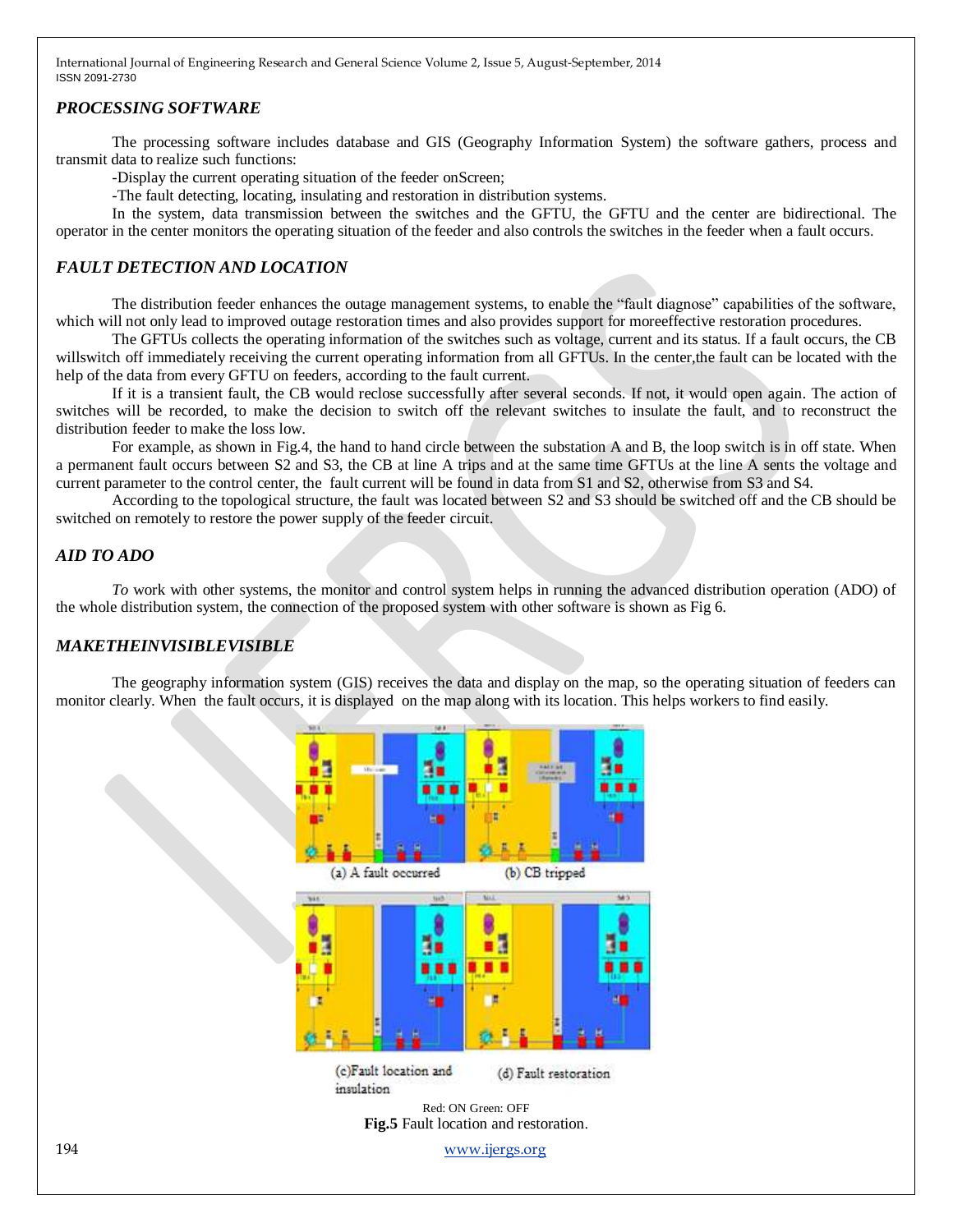#### *PROCESSING SOFTWARE*

The processing software includes database and GIS (Geography Information System) the software gathers, process and transmit data to realize such functions:

-Display the current operating situation of the feeder onScreen;

-The fault detecting, locating, insulating and restoration in distribution systems.

In the system, data transmission between the switches and the GFTU, the GFTU and the center are bidirectional. The operator in the center monitors the operating situation of the feeder and also controls the switches in the feeder when a fault occurs.

#### *FAULT DETECTION AND LOCATION*

The distribution feeder enhances the outage management systems, to enable the "fault diagnose" capabilities of the software, which will not only lead to improved outage restoration times and also provides support for moreeffective restoration procedures.

The GFTUs collects the operating information of the switches such as voltage, current and its status. If a fault occurs, the CB willswitch off immediately receiving the current operating information from all GFTUs. In the center, the fault can be located with the help of the data from every GFTU on feeders, according to the fault current.

If it is a transient fault, the CB would reclose successfully after several seconds. If not, it would open again. The action of switches will be recorded, to make the decision to switch off the relevant switches to insulate the fault, and to reconstruct the distribution feeder to make the loss low.

For example, as shown in Fig.4, the hand to hand circle between the substation A and B, the loop switch is in off state. When a permanent fault occurs between S2 and S3, the CB at line A trips and at the same time GFTUs at the line A sents the voltage and current parameter to the control center, the fault current will be found in data from S1 and S2, otherwise from S3 and S4.

According to the topological structure, the fault was located between S2 and S3 should be switched off and the CB should be switched on remotely to restore the power supply of the feeder circuit.

#### *AID TO ADO*

*To* work with other systems, the monitor and control system helps in running the advanced distribution operation (ADO) of the whole distribution system, the connection of the proposed system with other software is shown as Fig 6.

#### *MAKETHEINVISIBLEVISIBLE*

The geography information system (GIS) receives the data and display on the map, so the operating situation of feeders can monitor clearly. When the fault occurs, it is displayed on the map along with its location. This helps workers to find easily.

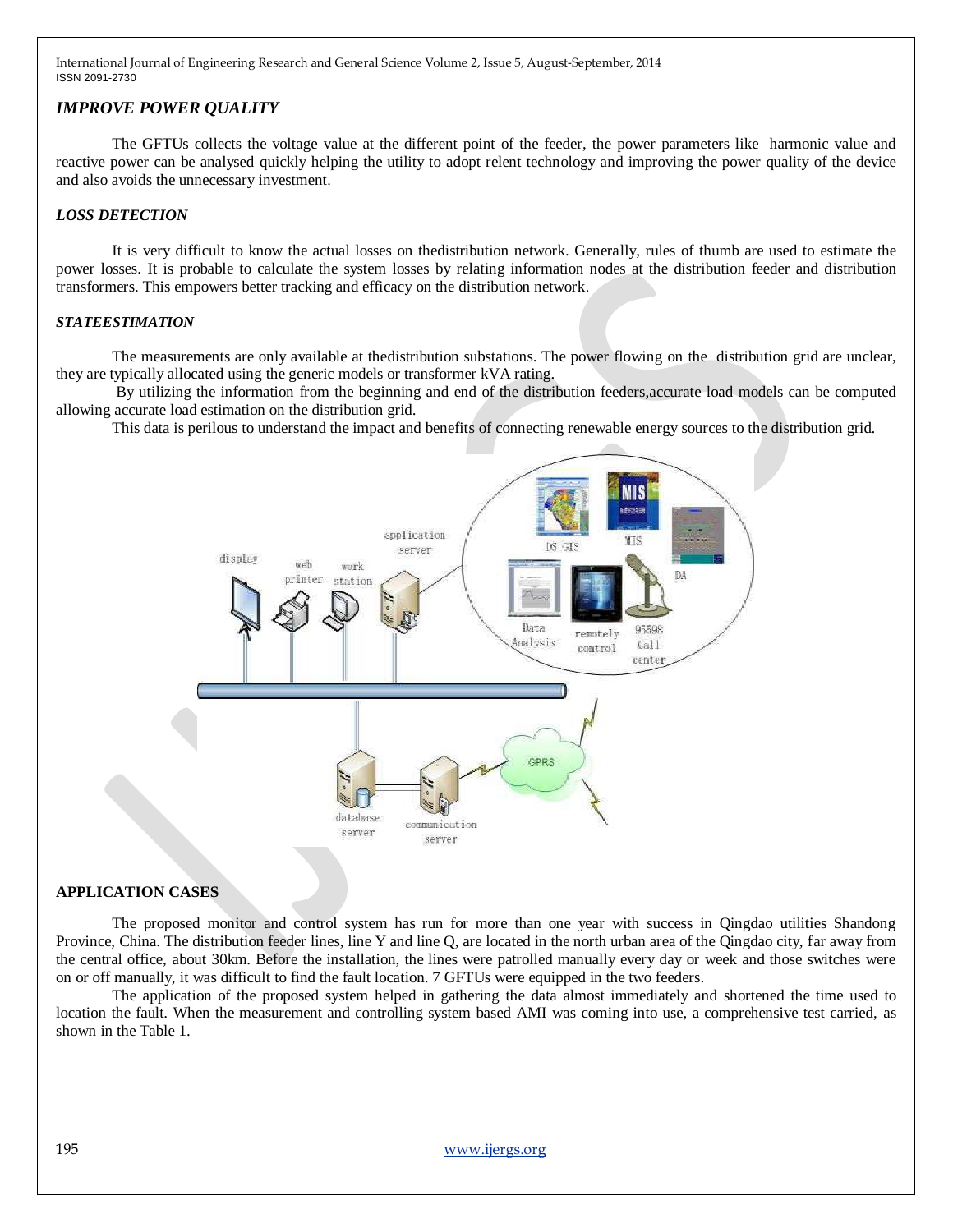#### *IMPROVE POWER QUALITY*

The GFTUs collects the voltage value at the different point of the feeder, the power parameters like harmonic value and reactive power can be analysed quickly helping the utility to adopt relent technology and improving the power quality of the device and also avoids the unnecessary investment.

#### *LOSS DETECTION*

It is very difficult to know the actual losses on thedistribution network. Generally, rules of thumb are used to estimate the power losses. It is probable to calculate the system losses by relating information nodes at the distribution feeder and distribution transformers. This empowers better tracking and efficacy on the distribution network.

#### *STATEESTIMATION*

The measurements are only available at thedistribution substations. The power flowing on the distribution grid are unclear, they are typically allocated using the generic models or transformer kVA rating.

By utilizing the information from the beginning and end of the distribution feeders,accurate load models can be computed allowing accurate load estimation on the distribution grid.

This data is perilous to understand the impact and benefits of connecting renewable energy sources to the distribution grid.



#### **APPLICATION CASES**

The proposed monitor and control system has run for more than one year with success in Qingdao utilities Shandong Province, China. The distribution feeder lines, line Y and line Q, are located in the north urban area of the Qingdao city, far away from the central office, about 30km. Before the installation, the lines were patrolled manually every day or week and those switches were on or off manually, it was difficult to find the fault location. 7 GFTUs were equipped in the two feeders.

The application of the proposed system helped in gathering the data almost immediately and shortened the time used to location the fault. When the measurement and controlling system based AMI was coming into use, a comprehensive test carried, as shown in the Table 1.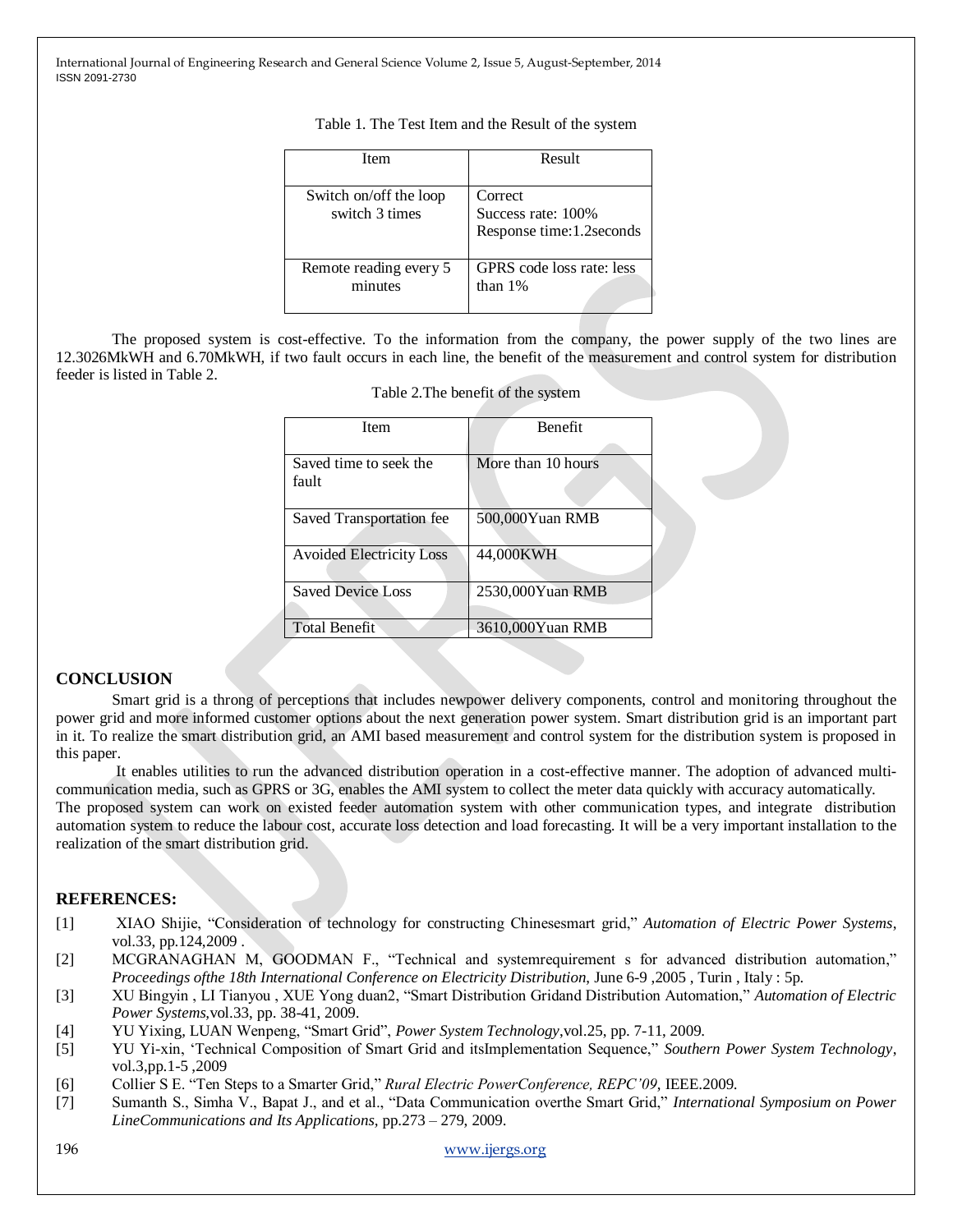| Table 1. The Test Item and the Result of the system |  |  |  |  |  |
|-----------------------------------------------------|--|--|--|--|--|
|-----------------------------------------------------|--|--|--|--|--|

| Item                                     | Result                                                      |
|------------------------------------------|-------------------------------------------------------------|
| Switch on/off the loop<br>switch 3 times | Correct<br>Success rate: 100%<br>Response time: 1.2 seconds |
| Remote reading every 5<br>minutes        | GPRS code loss rate: less<br>than $1\%$                     |

The proposed system is cost-effective. To the information from the company, the power supply of the two lines are 12.3026MkWH and 6.70MkWH, if two fault occurs in each line, the benefit of the measurement and control system for distribution feeder is listed in Table 2.

| <b>Item</b>                     | <b>Benefit</b>     |  |  |
|---------------------------------|--------------------|--|--|
|                                 |                    |  |  |
| Saved time to seek the          | More than 10 hours |  |  |
| fault                           |                    |  |  |
|                                 |                    |  |  |
| Saved Transportation fee        | 500,000Yuan RMB    |  |  |
|                                 |                    |  |  |
| <b>Avoided Electricity Loss</b> | 44,000KWH          |  |  |
|                                 |                    |  |  |
| <b>Saved Device Loss</b>        | 2530,000Yuan RMB   |  |  |
|                                 |                    |  |  |
| <b>Total Benefit</b>            | 3610,000Yuan RMB   |  |  |
|                                 |                    |  |  |

|  |  |  | Table 2. The benefit of the system |  |  |  |
|--|--|--|------------------------------------|--|--|--|
|--|--|--|------------------------------------|--|--|--|

#### **CONCLUSION**

Smart grid is a throng of perceptions that includes newpower delivery components, control and monitoring throughout the power grid and more informed customer options about the next generation power system. Smart distribution grid is an important part in it. To realize the smart distribution grid, an AMI based measurement and control system for the distribution system is proposed in this paper.

It enables utilities to run the advanced distribution operation in a cost-effective manner. The adoption of advanced multicommunication media, such as GPRS or 3G, enables the AMI system to collect the meter data quickly with accuracy automatically. The proposed system can work on existed feeder automation system with other communication types, and integrate distribution automation system to reduce the labour cost, accurate loss detection and load forecasting. It will be a very important installation to the realization of the smart distribution grid.

#### **REFERENCES:**

- [1] XIAO Shijie, "Consideration of technology for constructing Chinesesmart grid," *Automation of Electric Power Systems*, vol.33, pp.124,2009 .
- [2] MCGRANAGHAN M, GOODMAN F., "Technical and systemrequirement s for advanced distribution automation," *Proceedings ofthe 18th International Conference on Electricity Distribution*, June 6-9 ,2005 , Turin , Italy : 5p.
- [3] XU Bingyin , LI Tianyou , XUE Yong duan2, "Smart Distribution Gridand Distribution Automation," *Automation of Electric Power Systems,*vol.33, pp. 38-41, 2009.
- [4] YU Yixing, LUAN Wenpeng, "Smart Grid", *Power System Technology*, vol. 25, pp. 7-11, 2009.
- [5] YU Yi-xin, ‗Technical Composition of Smart Grid and itsImplementation Sequence,‖ *Southern Power System Technology*, vol.3,pp.1-5 ,2009
- [6] Collier S E. "Ten Steps to a Smarter Grid," *Rural Electric PowerConference, REPC'09*, IEEE.2009.
- [7] Sumanth S., Simha V., Bapat J., and et al., "Data Communication overthe Smart Grid," *International Symposium on Power LineCommunications and Its Applications,* pp.273 – 279, 2009.